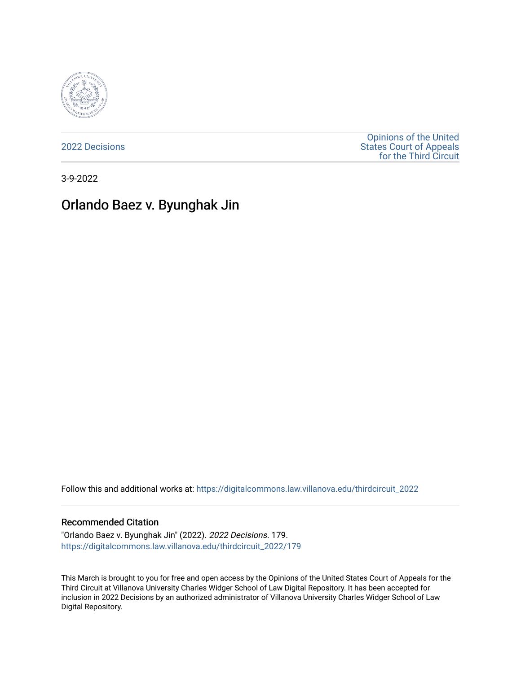

[2022 Decisions](https://digitalcommons.law.villanova.edu/thirdcircuit_2022)

[Opinions of the United](https://digitalcommons.law.villanova.edu/thirdcircuit)  [States Court of Appeals](https://digitalcommons.law.villanova.edu/thirdcircuit)  [for the Third Circuit](https://digitalcommons.law.villanova.edu/thirdcircuit) 

3-9-2022

# Orlando Baez v. Byunghak Jin

Follow this and additional works at: [https://digitalcommons.law.villanova.edu/thirdcircuit\\_2022](https://digitalcommons.law.villanova.edu/thirdcircuit_2022?utm_source=digitalcommons.law.villanova.edu%2Fthirdcircuit_2022%2F179&utm_medium=PDF&utm_campaign=PDFCoverPages) 

#### Recommended Citation

"Orlando Baez v. Byunghak Jin" (2022). 2022 Decisions. 179. [https://digitalcommons.law.villanova.edu/thirdcircuit\\_2022/179](https://digitalcommons.law.villanova.edu/thirdcircuit_2022/179?utm_source=digitalcommons.law.villanova.edu%2Fthirdcircuit_2022%2F179&utm_medium=PDF&utm_campaign=PDFCoverPages)

This March is brought to you for free and open access by the Opinions of the United States Court of Appeals for the Third Circuit at Villanova University Charles Widger School of Law Digital Repository. It has been accepted for inclusion in 2022 Decisions by an authorized administrator of Villanova University Charles Widger School of Law Digital Repository.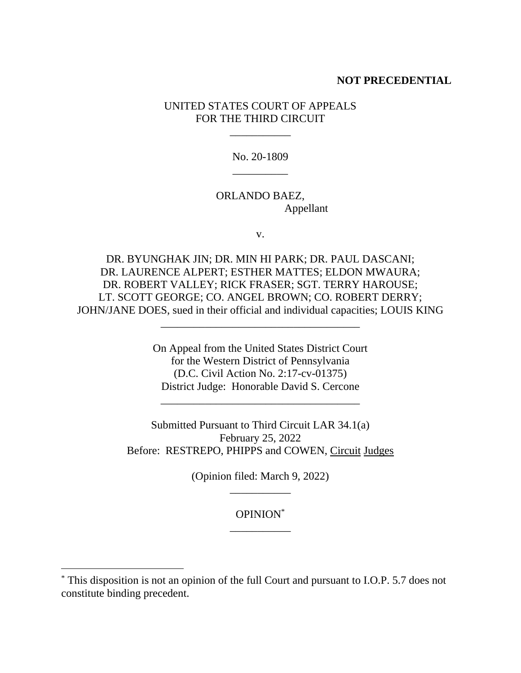#### **NOT PRECEDENTIAL**

## UNITED STATES COURT OF APPEALS FOR THE THIRD CIRCUIT

\_\_\_\_\_\_\_\_\_\_\_

No. 20-1809 \_\_\_\_\_\_\_\_\_\_

## ORLANDO BAEZ, Appellant

v.

DR. BYUNGHAK JIN; DR. MIN HI PARK; DR. PAUL DASCANI; DR. LAURENCE ALPERT; ESTHER MATTES; ELDON MWAURA; DR. ROBERT VALLEY; RICK FRASER; SGT. TERRY HAROUSE; LT. SCOTT GEORGE; CO. ANGEL BROWN; CO. ROBERT DERRY; JOHN/JANE DOES, sued in their official and individual capacities; LOUIS KING

\_\_\_\_\_\_\_\_\_\_\_\_\_\_\_\_\_\_\_\_\_\_\_\_\_\_\_\_\_\_\_\_\_\_\_\_

On Appeal from the United States District Court for the Western District of Pennsylvania (D.C. Civil Action No. 2:17-cv-01375) District Judge: Honorable David S. Cercone

\_\_\_\_\_\_\_\_\_\_\_\_\_\_\_\_\_\_\_\_\_\_\_\_\_\_\_\_\_\_\_\_\_\_\_\_

Submitted Pursuant to Third Circuit LAR 34.1(a) February 25, 2022 Before: RESTREPO, PHIPPS and COWEN, Circuit Judges

> (Opinion filed: March 9, 2022) \_\_\_\_\_\_\_\_\_\_\_

> > OPINION\* \_\_\_\_\_\_\_\_\_\_\_

<sup>\*</sup> This disposition is not an opinion of the full Court and pursuant to I.O.P. 5.7 does not constitute binding precedent.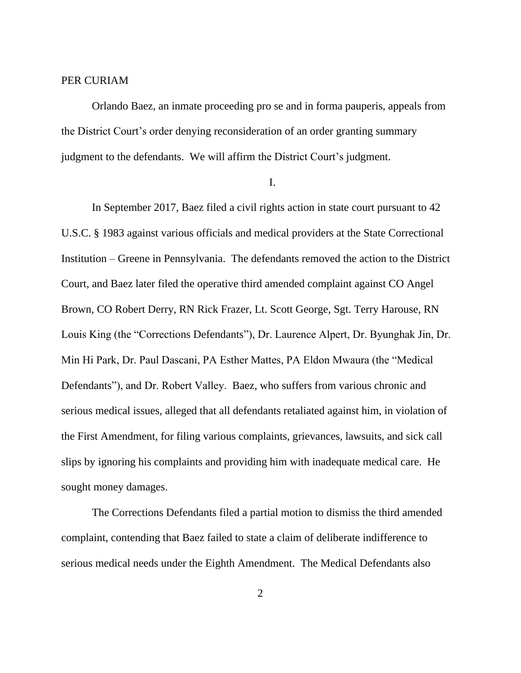### PER CURIAM

Orlando Baez, an inmate proceeding pro se and in forma pauperis, appeals from the District Court's order denying reconsideration of an order granting summary judgment to the defendants. We will affirm the District Court's judgment.

I.

In September 2017, Baez filed a civil rights action in state court pursuant to 42 U.S.C. § 1983 against various officials and medical providers at the State Correctional Institution – Greene in Pennsylvania. The defendants removed the action to the District Court, and Baez later filed the operative third amended complaint against CO Angel Brown, CO Robert Derry, RN Rick Frazer, Lt. Scott George, Sgt. Terry Harouse, RN Louis King (the "Corrections Defendants"), Dr. Laurence Alpert, Dr. Byunghak Jin, Dr. Min Hi Park, Dr. Paul Dascani, PA Esther Mattes, PA Eldon Mwaura (the "Medical Defendants"), and Dr. Robert Valley. Baez, who suffers from various chronic and serious medical issues, alleged that all defendants retaliated against him, in violation of the First Amendment, for filing various complaints, grievances, lawsuits, and sick call slips by ignoring his complaints and providing him with inadequate medical care. He sought money damages.

The Corrections Defendants filed a partial motion to dismiss the third amended complaint, contending that Baez failed to state a claim of deliberate indifference to serious medical needs under the Eighth Amendment. The Medical Defendants also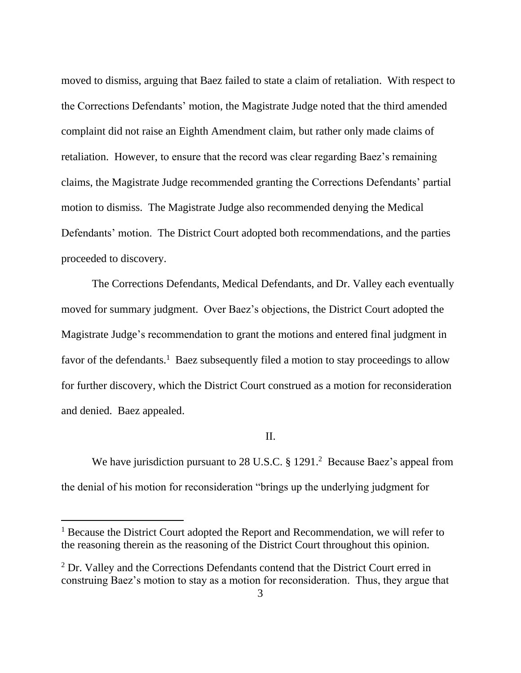moved to dismiss, arguing that Baez failed to state a claim of retaliation. With respect to the Corrections Defendants' motion, the Magistrate Judge noted that the third amended complaint did not raise an Eighth Amendment claim, but rather only made claims of retaliation. However, to ensure that the record was clear regarding Baez's remaining claims, the Magistrate Judge recommended granting the Corrections Defendants' partial motion to dismiss. The Magistrate Judge also recommended denying the Medical Defendants' motion. The District Court adopted both recommendations, and the parties proceeded to discovery.

The Corrections Defendants, Medical Defendants, and Dr. Valley each eventually moved for summary judgment. Over Baez's objections, the District Court adopted the Magistrate Judge's recommendation to grant the motions and entered final judgment in favor of the defendants.<sup>1</sup> Baez subsequently filed a motion to stay proceedings to allow for further discovery, which the District Court construed as a motion for reconsideration and denied. Baez appealed.

#### II.

We have jurisdiction pursuant to 28 U.S.C. § 1291.<sup>2</sup> Because Baez's appeal from the denial of his motion for reconsideration "brings up the underlying judgment for

<sup>&</sup>lt;sup>1</sup> Because the District Court adopted the Report and Recommendation, we will refer to the reasoning therein as the reasoning of the District Court throughout this opinion.

<sup>&</sup>lt;sup>2</sup> Dr. Valley and the Corrections Defendants contend that the District Court erred in construing Baez's motion to stay as a motion for reconsideration. Thus, they argue that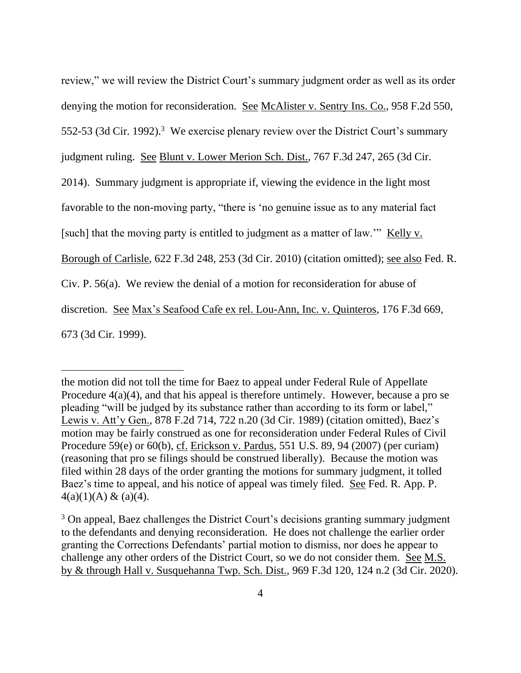review," we will review the District Court's summary judgment order as well as its order denying the motion for reconsideration. See McAlister v. Sentry Ins. Co., 958 F.2d 550, 552-53 (3d Cir. 1992).<sup>3</sup> We exercise plenary review over the District Court's summary judgment ruling. See Blunt v. Lower Merion Sch. Dist., 767 F.3d 247, 265 (3d Cir. 2014). Summary judgment is appropriate if, viewing the evidence in the light most favorable to the non-moving party, "there is 'no genuine issue as to any material fact [such] that the moving party is entitled to judgment as a matter of law.'" Kelly v. Borough of Carlisle, 622 F.3d 248, 253 (3d Cir. 2010) (citation omitted); see also Fed. R. Civ. P. 56(a). We review the denial of a motion for reconsideration for abuse of discretion. See Max's Seafood Cafe ex rel. Lou-Ann, Inc. v. Quinteros, 176 F.3d 669, 673 (3d Cir. 1999).

the motion did not toll the time for Baez to appeal under Federal Rule of Appellate Procedure 4(a)(4), and that his appeal is therefore untimely. However, because a pro se pleading "will be judged by its substance rather than according to its form or label," Lewis v. Att'y Gen., 878 F.2d 714, 722 n.20 (3d Cir. 1989) (citation omitted), Baez's motion may be fairly construed as one for reconsideration under Federal Rules of Civil Procedure 59(e) or 60(b), cf. Erickson v. Pardus, 551 U.S. 89, 94 (2007) (per curiam) (reasoning that pro se filings should be construed liberally). Because the motion was filed within 28 days of the order granting the motions for summary judgment, it tolled Baez's time to appeal, and his notice of appeal was timely filed. See Fed. R. App. P.  $4(a)(1)(A) \& (a)(4)$ .

<sup>&</sup>lt;sup>3</sup> On appeal, Baez challenges the District Court's decisions granting summary judgment to the defendants and denying reconsideration. He does not challenge the earlier order granting the Corrections Defendants' partial motion to dismiss, nor does he appear to challenge any other orders of the District Court, so we do not consider them. See M.S. by & through Hall v. Susquehanna Twp. Sch. Dist., 969 F.3d 120, 124 n.2 (3d Cir. 2020).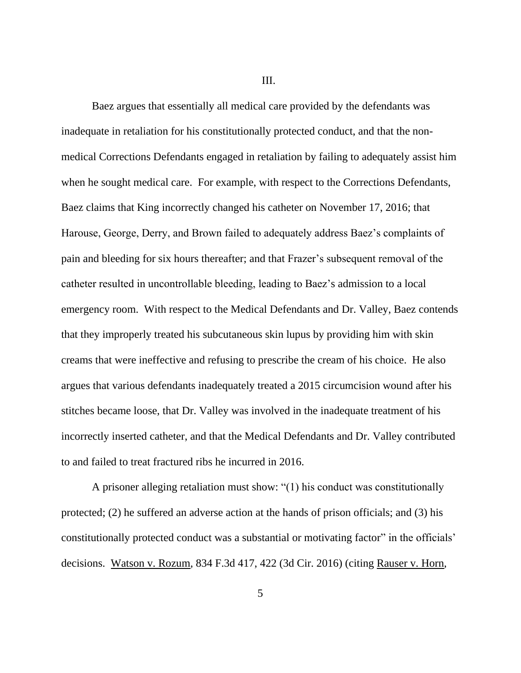III.

Baez argues that essentially all medical care provided by the defendants was inadequate in retaliation for his constitutionally protected conduct, and that the nonmedical Corrections Defendants engaged in retaliation by failing to adequately assist him when he sought medical care. For example, with respect to the Corrections Defendants, Baez claims that King incorrectly changed his catheter on November 17, 2016; that Harouse, George, Derry, and Brown failed to adequately address Baez's complaints of pain and bleeding for six hours thereafter; and that Frazer's subsequent removal of the catheter resulted in uncontrollable bleeding, leading to Baez's admission to a local emergency room. With respect to the Medical Defendants and Dr. Valley, Baez contends that they improperly treated his subcutaneous skin lupus by providing him with skin creams that were ineffective and refusing to prescribe the cream of his choice. He also argues that various defendants inadequately treated a 2015 circumcision wound after his stitches became loose, that Dr. Valley was involved in the inadequate treatment of his incorrectly inserted catheter, and that the Medical Defendants and Dr. Valley contributed to and failed to treat fractured ribs he incurred in 2016.

A prisoner alleging retaliation must show: "(1) his conduct was constitutionally protected; (2) he suffered an adverse action at the hands of prison officials; and (3) his constitutionally protected conduct was a substantial or motivating factor" in the officials' decisions. Watson v. Rozum, 834 F.3d 417, 422 (3d Cir. 2016) (citing Rauser v. Horn,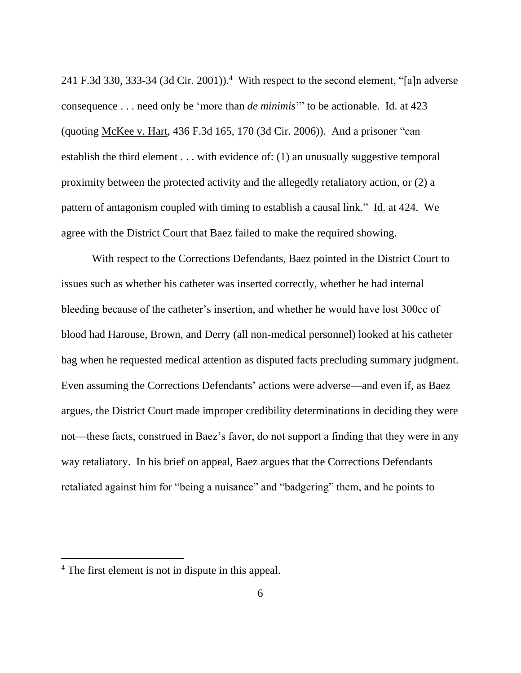241 F.3d 330, 333-34 (3d Cir. 2001)).<sup>4</sup> With respect to the second element, "[a]n adverse consequence . . . need only be 'more than *de minimis*'" to be actionable. Id. at 423 (quoting McKee v. Hart, 436 F.3d 165, 170 (3d Cir. 2006)). And a prisoner "can establish the third element . . . with evidence of: (1) an unusually suggestive temporal proximity between the protected activity and the allegedly retaliatory action, or (2) a pattern of antagonism coupled with timing to establish a causal link." Id. at 424. We agree with the District Court that Baez failed to make the required showing.

With respect to the Corrections Defendants, Baez pointed in the District Court to issues such as whether his catheter was inserted correctly, whether he had internal bleeding because of the catheter's insertion, and whether he would have lost 300cc of blood had Harouse, Brown, and Derry (all non-medical personnel) looked at his catheter bag when he requested medical attention as disputed facts precluding summary judgment. Even assuming the Corrections Defendants' actions were adverse—and even if, as Baez argues, the District Court made improper credibility determinations in deciding they were not—these facts, construed in Baez's favor, do not support a finding that they were in any way retaliatory. In his brief on appeal, Baez argues that the Corrections Defendants retaliated against him for "being a nuisance" and "badgering" them, and he points to

<sup>4</sup> The first element is not in dispute in this appeal.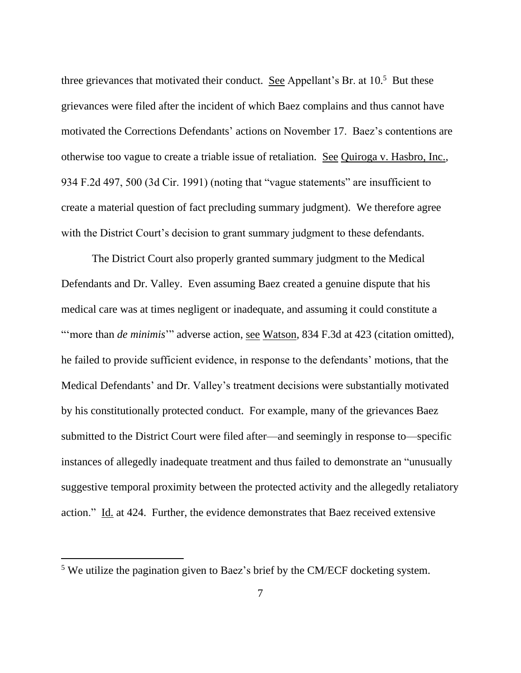three grievances that motivated their conduct. See Appellant's Br. at  $10<sup>5</sup>$  But these grievances were filed after the incident of which Baez complains and thus cannot have motivated the Corrections Defendants' actions on November 17. Baez's contentions are otherwise too vague to create a triable issue of retaliation. See Quiroga v. Hasbro, Inc., 934 F.2d 497, 500 (3d Cir. 1991) (noting that "vague statements" are insufficient to create a material question of fact precluding summary judgment). We therefore agree with the District Court's decision to grant summary judgment to these defendants.

The District Court also properly granted summary judgment to the Medical Defendants and Dr. Valley. Even assuming Baez created a genuine dispute that his medical care was at times negligent or inadequate, and assuming it could constitute a "'more than *de minimis*" adverse action, <u>see Watson</u>, 834 F.3d at 423 (citation omitted), he failed to provide sufficient evidence, in response to the defendants' motions, that the Medical Defendants' and Dr. Valley's treatment decisions were substantially motivated by his constitutionally protected conduct. For example, many of the grievances Baez submitted to the District Court were filed after—and seemingly in response to—specific instances of allegedly inadequate treatment and thus failed to demonstrate an "unusually suggestive temporal proximity between the protected activity and the allegedly retaliatory action." Id. at 424. Further, the evidence demonstrates that Baez received extensive

<sup>5</sup> We utilize the pagination given to Baez's brief by the CM/ECF docketing system.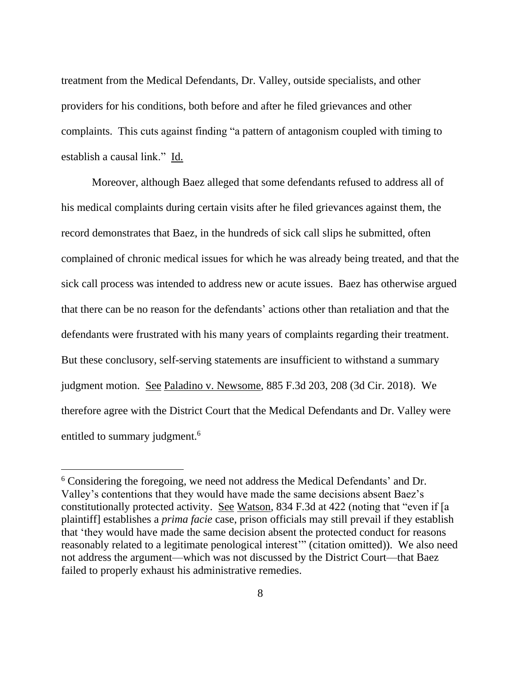treatment from the Medical Defendants, Dr. Valley, outside specialists, and other providers for his conditions, both before and after he filed grievances and other complaints. This cuts against finding "a pattern of antagonism coupled with timing to establish a causal link." Id.

Moreover, although Baez alleged that some defendants refused to address all of his medical complaints during certain visits after he filed grievances against them, the record demonstrates that Baez, in the hundreds of sick call slips he submitted, often complained of chronic medical issues for which he was already being treated, and that the sick call process was intended to address new or acute issues. Baez has otherwise argued that there can be no reason for the defendants' actions other than retaliation and that the defendants were frustrated with his many years of complaints regarding their treatment. But these conclusory, self-serving statements are insufficient to withstand a summary judgment motion. See Paladino v. Newsome, 885 F.3d 203, 208 (3d Cir. 2018). We therefore agree with the District Court that the Medical Defendants and Dr. Valley were entitled to summary judgment.<sup>6</sup>

<sup>6</sup> Considering the foregoing, we need not address the Medical Defendants' and Dr. Valley's contentions that they would have made the same decisions absent Baez's constitutionally protected activity. See Watson, 834 F.3d at 422 (noting that "even if [a plaintiff] establishes a *prima facie* case, prison officials may still prevail if they establish that 'they would have made the same decision absent the protected conduct for reasons reasonably related to a legitimate penological interest'" (citation omitted)). We also need not address the argument—which was not discussed by the District Court—that Baez failed to properly exhaust his administrative remedies.